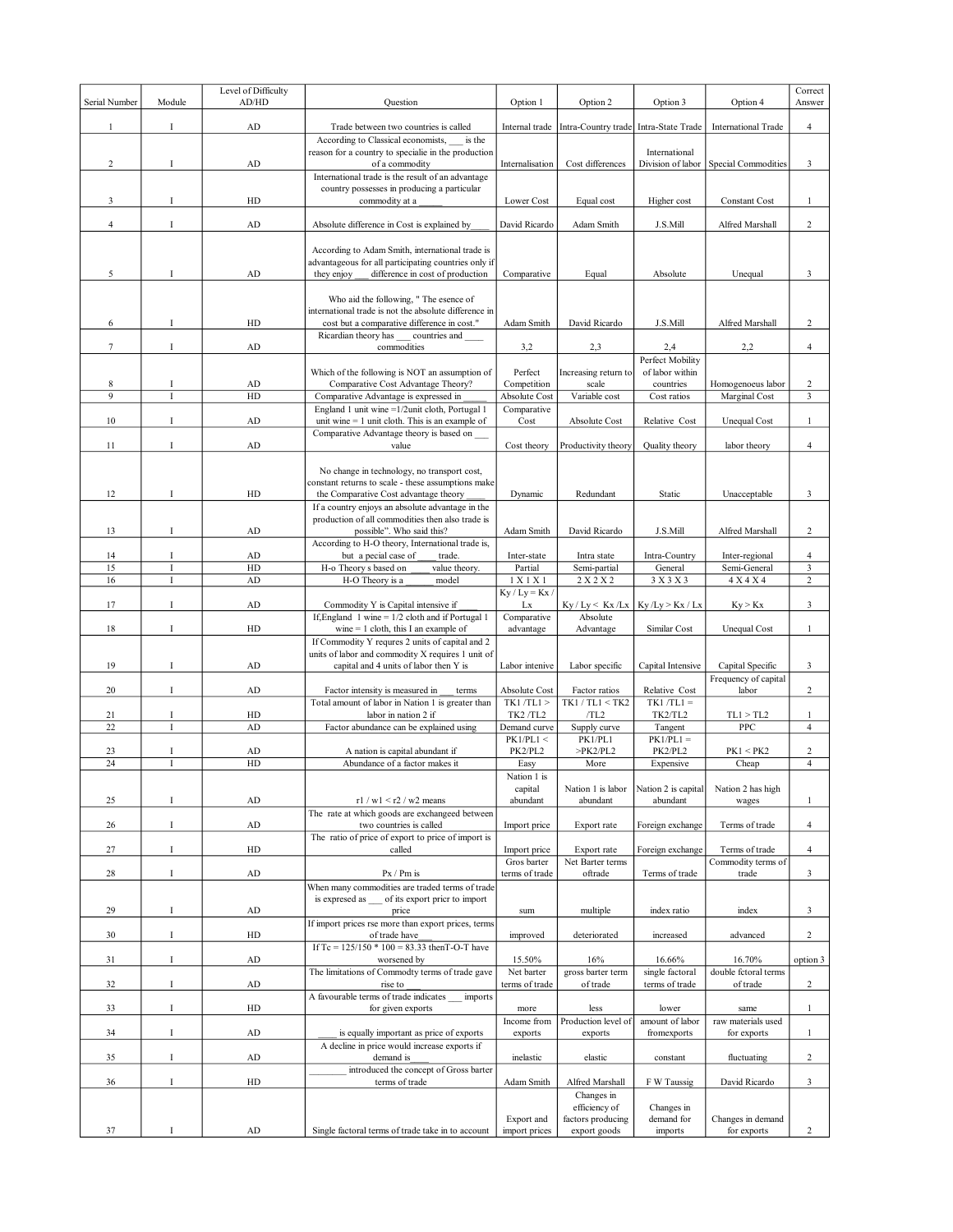|                     |             |                              |                                                                                                                                                                                                |                                         |                                                |                                                                     |                                          | Correct        |
|---------------------|-------------|------------------------------|------------------------------------------------------------------------------------------------------------------------------------------------------------------------------------------------|-----------------------------------------|------------------------------------------------|---------------------------------------------------------------------|------------------------------------------|----------------|
| Serial Number       | Module      | Level of Difficulty<br>AD/HD | Question                                                                                                                                                                                       | Option 1                                | Option 2                                       | Option 3                                                            | Option 4                                 |                |
| $\mathbf{1}$        | $\bf{I}$    | AD                           |                                                                                                                                                                                                |                                         |                                                |                                                                     |                                          |                |
|                     |             |                              | Trade between two countries is called                                                                                                                                                          | Internal trade                          |                                                | Intra-Country trade Intra-State Trade<br><b>International Trade</b> |                                          | 4              |
| $\overline{c}$      | Ι.          | ${\rm AD}$                   | According to Classical economists,<br>is the<br>reason for a country to specialie in the production<br>of a commodity                                                                          | Internalisation                         | Cost differences                               | International<br>Division of labor                                  | Special Commodities                      | 3              |
|                     |             |                              | International trade is the result of an advantage<br>country possesses in producing a particular                                                                                               |                                         |                                                |                                                                     |                                          |                |
| 3                   | $\mathbf I$ | HD                           | commodity at a                                                                                                                                                                                 | Lower Cost                              | Equal cost                                     | Higher cost                                                         | <b>Constant Cost</b>                     | 1              |
| $\overline{4}$      | <b>I</b>    | AD                           | Absolute difference in Cost is explained by                                                                                                                                                    | David Ricardo                           | Adam Smith                                     | J.S.Mill                                                            | Alfred Marshall                          | 2              |
| 5                   | I           | AD                           | According to Adam Smith, international trade is<br>advantageous for all participating countries only if<br>they enjoy<br>difference in cost of production                                      | Comparative                             | Equal                                          | Absolute                                                            | Unequal                                  | 3              |
| 6                   | I           | HD                           | Who aid the following, " The esence of<br>international trade is not the absolute difference in<br>cost but a comparative difference in cost."                                                 | Adam Smith                              | David Ricardo                                  | J.S.Mill                                                            | Alfred Marshall                          | 2              |
| $\tau$              | $\bf{I}$    | AD                           | Ricardian theory has<br>countries and<br>commodities                                                                                                                                           | 3,2                                     | 2,3                                            | 2,4                                                                 | 2,2                                      | 4              |
|                     |             |                              |                                                                                                                                                                                                |                                         |                                                | Perfect Mobility                                                    |                                          |                |
| 8<br>$\overline{9}$ | Ι           | AD<br>HD                     | Which of the following is NOT an assumption of<br>Comparative Cost Advantage Theory?<br>Comparative Advantage is expressed in                                                                  | Perfect<br>Competition<br>Absolute Cost | Increasing return to<br>scale<br>Variable cost | of labor within<br>countries<br>Cost ratios                         | Homogenoeus labor<br>Marginal Cost       | 2<br>3         |
|                     |             |                              | England 1 unit wine = 1/2unit cloth, Portugal 1                                                                                                                                                | Comparative                             |                                                |                                                                     |                                          |                |
| 10                  | $\mathbf I$ | AD                           | unit wine $= 1$ unit cloth. This is an example of<br>Comparative Advantage theory is based on                                                                                                  | Cost                                    | Absolute Cost                                  | Relative Cost                                                       | <b>Unequal Cost</b>                      | $\mathbf{1}$   |
| 11                  | Ι.          | AD                           | value                                                                                                                                                                                          | Cost theory                             | Productivity theory                            | Quality theory                                                      | labor theory                             | $\overline{4}$ |
| 12                  | I           | HD                           | No change in technology, no transport cost,<br>constant returns to scale - these assumptions make<br>the Comparative Cost advantage theory<br>If a country enjoys an absolute advantage in the | Dynamic                                 | Redundant                                      | Static                                                              | Unacceptable                             | 3              |
| 13                  | I           | AD                           | production of all commodities then also trade is<br>possible". Who said this?                                                                                                                  | Adam Smith                              | David Ricardo                                  | J.S.Mill                                                            | Alfred Marshall                          | 2              |
|                     |             |                              | According to H-O theory, International trade is,                                                                                                                                               |                                         |                                                |                                                                     |                                          |                |
| 14                  | I           | ${\rm AD}$                   | but a pecial case of<br>trade.                                                                                                                                                                 | Inter-state                             | Intra state                                    | Intra-Country                                                       | Inter-regional                           | $\overline{4}$ |
| 15                  | T           | HD                           | H-o Theory s based on<br>value theory.                                                                                                                                                         | Partial                                 | Semi-partial                                   | General                                                             | Semi-General                             | 3              |
| 16                  | Ī           | AD                           | H-O Theory is a<br>model                                                                                                                                                                       | 1 X 1 X 1                               | 2 X 2 X 2                                      | 3 X 3 X 3                                                           | 4 X 4 X 4                                | $\overline{c}$ |
| 17                  | I           | AD                           | Commodity Y is Capital intensive if                                                                                                                                                            | $Ky / Ly = Kx /$<br>Lx                  | $Ky / Ly < Kx / Lx$   $Ky / Ly > Kx / Lx$      |                                                                     | Ky > Kx                                  | 3              |
| 18                  | Ι.          | HD                           | If, England 1 wine = $1/2$ cloth and if Portugal 1<br>wine $= 1$ cloth, this I an example of                                                                                                   | Comparative<br>advantage                | Absolute<br>Advantage                          | Similar Cost                                                        | <b>Unequal Cost</b>                      | $\mathbf{1}$   |
|                     |             |                              | If Commodity Y requres 2 units of capital and 2<br>units of labor and commodity X requires 1 unit of                                                                                           |                                         |                                                |                                                                     |                                          |                |
| 19                  | I           | ${\rm AD}$                   | capital and 4 units of labor then Y is                                                                                                                                                         | Labor intenive                          | Labor specific                                 | Capital Intensive                                                   | Capital Specific<br>Frequency of capital | 3              |
| 20                  | I           | AD                           | Factor intensity is measured in<br>terms<br>Total amount of labor in Nation 1 is greater than                                                                                                  | Absolute Cost<br>$TK1/TL1$ >            | Factor ratios<br>TK1 / TL1 < TK2               | Relative Cost<br>$TK1/TL1 =$                                        | labor                                    | 2              |
| 21                  | $\rm I$     | HD                           | labor in nation 2 if                                                                                                                                                                           | TK2/TL2                                 | /TL2                                           | TK2/TL2                                                             | TL1 > TL2                                | 1              |
| 22                  | T           | AD                           | Factor abundance can be explained using                                                                                                                                                        | Demand curve                            | Supply curve                                   | Tangent                                                             | PPC                                      | $\overline{4}$ |
|                     |             |                              |                                                                                                                                                                                                | PK1/PL1 <                               | PK1/PL1                                        | $PK1/PL1 =$                                                         |                                          |                |
| 23                  | <b>I</b>    | ${\rm AD}$                   | A nation is capital abundant if                                                                                                                                                                | PK2/PL2                                 | >PK2/PL2                                       | PK2/PL2                                                             | PK1 < PK2                                | 2              |
| 24                  |             | HD                           | Abundance of a factor makes it                                                                                                                                                                 | Easy                                    | More                                           | Expensive                                                           | Cheap                                    | 4              |
|                     |             |                              |                                                                                                                                                                                                | Nation 1 is<br>capital                  | Nation 1 is labor                              | Nation 2 is capital                                                 | Nation 2 has high                        |                |
| 25                  | I           | AD                           | $r1 / w1 < r2 / w2$ means<br>The rate at which goods are exchangeed between                                                                                                                    | abundant                                | abundant                                       | abundant                                                            | wages                                    | $\mathbf{1}$   |
| 26                  | $\bf{I}$    | $\rm{AD}$                    | two countries is called<br>The ratio of price of export to price of import is                                                                                                                  | Import price                            | Export rate                                    | Foreign exchange                                                    | Terms of trade                           | $\overline{4}$ |
| 27                  | Ι           | HD                           | called                                                                                                                                                                                         | Import price                            | Export rate                                    | Foreign exchange                                                    | Terms of trade                           | 4              |
| 28                  | $\bf{I}$    | ${\rm AD}$                   | $Px / Pm$ is                                                                                                                                                                                   | Gros barter<br>terms of trade           | Net Barter terms<br>oftrade                    | Terms of trade                                                      | Commodity terms of<br>trade              | 3              |
|                     | $\bf{I}$    | AD                           | When many commodities are traded terms of trade<br>is expresed as<br>of its export pricr to import<br>price                                                                                    |                                         | multiple                                       |                                                                     |                                          |                |
| 29                  |             |                              | If import prices rse more than export prices, terms                                                                                                                                            | sum                                     |                                                | index ratio                                                         | index                                    | 3              |
| 30                  | $\bf{I}$    | HD                           | of trade have<br>If Tc = $125/150 * 100 = 83.33$ then T-O-T have                                                                                                                               | improved                                | deteriorated                                   | increased                                                           | advanced                                 | 2              |
| 31                  | <b>I</b>    | AD                           | worsened by<br>The limitations of Commodty terms of trade gave                                                                                                                                 | 15.50%<br>Net barter                    | 16%<br>gross barter term                       | 16.66%<br>single factoral                                           | 16.70%<br>double fctoral terms           | option 3       |
| 32                  | <b>I</b>    | AD                           | rise to                                                                                                                                                                                        | terms of trade                          | of trade                                       | terms of trade                                                      | of trade                                 | 2              |
| 33                  | $\bf{I}$    | HD                           | A favourable terms of trade indicates<br>imports<br>for given exports                                                                                                                          | more                                    | less                                           | lower                                                               | same                                     | $\mathbf{1}$   |
| 34                  | $\mathbf I$ | AD                           | is equally important as price of exports                                                                                                                                                       | Income from<br>exports                  | Production level of<br>exports                 | amount of labor<br>fromexports                                      | raw materials used<br>for exports        | $\mathbf{1}$   |
| 35                  | <b>I</b>    | ${\rm AD}$                   | A decline in price would increase exports if<br>demand is                                                                                                                                      | inelastic                               | elastic                                        |                                                                     | fluctuating                              | 2              |
|                     |             |                              | introduced the concept of Gross barter                                                                                                                                                         |                                         |                                                | constant                                                            |                                          |                |
| 36                  | Ι           | ${\rm HD}$                   | terms of trade                                                                                                                                                                                 | Adam Smith                              | Alfred Marshall<br>Changes in                  | F W Taussig                                                         | David Ricardo                            | 3              |
|                     |             |                              |                                                                                                                                                                                                | Export and                              | efficiency of<br>factors producing             | Changes in<br>demand for                                            | Changes in demand                        |                |
| 37                  | I           | AD                           | Single factoral terms of trade take in to account                                                                                                                                              | import prices                           | export goods                                   | imports                                                             | for exports                              | $\overline{c}$ |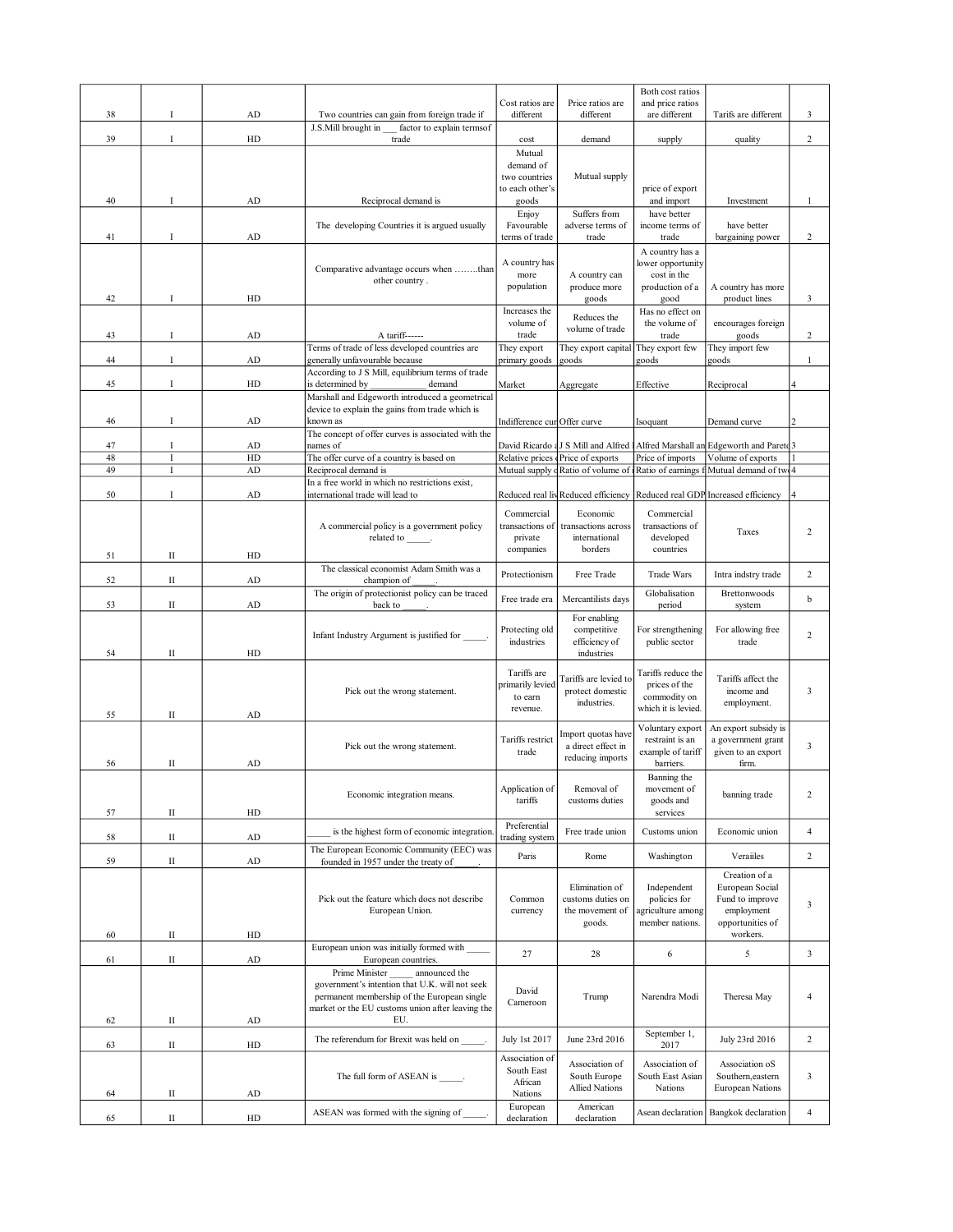|          |               |            |                                                                                                    |                                 |                                                       | Both cost ratios                     |                                                                                                     |                         |
|----------|---------------|------------|----------------------------------------------------------------------------------------------------|---------------------------------|-------------------------------------------------------|--------------------------------------|-----------------------------------------------------------------------------------------------------|-------------------------|
| 38       | Ι             | AD         | Two countries can gain from foreign trade if                                                       | Cost ratios are<br>different    | Price ratios are<br>different                         | and price ratios<br>are different    | Tarifs are different                                                                                | 3                       |
|          |               |            | J.S.Mill brought in<br>factor to explain termsof                                                   |                                 |                                                       |                                      |                                                                                                     |                         |
| 39       | Ι             | HD         | trade                                                                                              | cost                            | demand                                                | supply                               | quality                                                                                             | $\overline{2}$          |
|          |               |            |                                                                                                    | Mutual<br>demand of             |                                                       |                                      |                                                                                                     |                         |
|          |               |            |                                                                                                    | two countries                   | Mutual supply                                         |                                      |                                                                                                     |                         |
| 40       | Ι             | AD         | Reciprocal demand is                                                                               | to each other's<br>goods        |                                                       | price of export<br>and import        | Investment                                                                                          | 1                       |
|          |               |            |                                                                                                    | Enjoy                           | Suffers from                                          | have better                          |                                                                                                     |                         |
|          |               |            | The developing Countries it is argued usually                                                      | Favourable                      | adverse terms of                                      | income terms of                      | have better                                                                                         |                         |
| 41       | Ι             | ${\rm AD}$ |                                                                                                    | terms of trade                  | trade                                                 | trade                                | bargaining power                                                                                    | $\overline{c}$          |
|          |               |            |                                                                                                    | A country has                   |                                                       | A country has a<br>lower opportunity |                                                                                                     |                         |
|          |               |            | Comparative advantage occurs when than<br>other country.                                           | more                            | A country can                                         | cost in the                          |                                                                                                     |                         |
| 42       | Ι             | HD         |                                                                                                    | population                      | produce more<br>goods                                 | production of a<br>good              | A country has more<br>product lines                                                                 | 3                       |
|          |               |            |                                                                                                    | Increases the                   |                                                       | Has no effect on                     |                                                                                                     |                         |
|          |               |            |                                                                                                    | volume of                       | Reduces the<br>volume of trade                        | the volume of                        | encourages foreign                                                                                  |                         |
| 43       | Ι             | AD         | A tariff------<br>Terms of trade of less developed countries are                                   | trade                           | They export capital                                   | trade<br>They export few             | goods<br>They import few                                                                            | 2                       |
| 44       | $\bf{I}$      | AD         | generally unfavourable because                                                                     | They export<br>primary goods    | goods                                                 | goods                                | goods                                                                                               | 1                       |
|          |               |            | According to J S Mill, equilibrium terms of trade                                                  |                                 |                                                       |                                      |                                                                                                     |                         |
| 45       | $\bf{I}$      | HD         | is determined by<br>demand                                                                         | Market                          | Aggregate                                             | Effective                            | Reciprocal                                                                                          | 4                       |
|          |               |            | Marshall and Edgeworth introduced a geometrical<br>device to explain the gains from trade which is |                                 |                                                       |                                      |                                                                                                     |                         |
| 46       | Ι             | ${\rm AD}$ | known as                                                                                           | Indifference cur Offer curve    |                                                       | Isoquant                             | Demand curve                                                                                        |                         |
|          |               |            | The concept of offer curves is associated with the                                                 |                                 |                                                       |                                      |                                                                                                     |                         |
| 47<br>48 | $\bf{I}$<br>Ι | AD<br>HD   | names of<br>The offer curve of a country is based on                                               |                                 | Relative prices Price of exports                      | Price of imports                     | David Ricardo (J S Mill and Alfred 1 Alfred Marshall an Edgeworth and Paretd 3<br>Volume of exports |                         |
| 49       | I             | ${\rm AD}$ | Reciprocal demand is                                                                               |                                 | Mutual supply cRatio of volume of Ratio of earnings f |                                      | Mutual demand of two 4                                                                              |                         |
|          |               |            | In a free world in which no restrictions exist,                                                    |                                 |                                                       |                                      |                                                                                                     |                         |
| 50       | I             | AD         | international trade will lead to                                                                   |                                 |                                                       |                                      | Reduced real liv Reduced efficiency Reduced real GDP Increased efficiency 4                         |                         |
|          |               |            |                                                                                                    | Commercial                      | Economic                                              | Commercial                           |                                                                                                     |                         |
|          |               |            | A commercial policy is a government policy<br>related to                                           | transactions of<br>private      | transactions across<br>international                  | transactions of<br>developed         | Taxes                                                                                               | $\overline{2}$          |
| 51       | $\rm II$      | HD         |                                                                                                    | companies                       | borders                                               | countries                            |                                                                                                     |                         |
|          |               |            | The classical economist Adam Smith was a                                                           |                                 |                                                       |                                      |                                                                                                     |                         |
| 52       | $\mathbf{I}$  | ${\rm AD}$ | champion of                                                                                        | Protectionism                   | Free Trade                                            | <b>Trade Wars</b>                    | Intra indstry trade                                                                                 | $\overline{2}$          |
| 53       | П             | ${\rm AD}$ | The origin of protectionist policy can be traced<br>back to                                        | Free trade era                  | Mercantilists days                                    | Globalisation                        | Brettonwoods                                                                                        | $\mathbf b$             |
|          |               |            |                                                                                                    |                                 | For enabling                                          | period                               | system                                                                                              |                         |
|          |               |            | Infant Industry Argument is justified for                                                          | Protecting old                  | competitive                                           | For strengthening                    | For allowing free                                                                                   | $\overline{2}$          |
| 54       | П             | HD         |                                                                                                    | industries                      | efficiency of<br>industries                           | public sector                        | trade                                                                                               |                         |
|          |               |            |                                                                                                    |                                 |                                                       |                                      |                                                                                                     |                         |
|          |               |            |                                                                                                    | Tariffs are<br>primarily levied | Tariffs are levied to                                 | Tariffs reduce the<br>prices of the  | Tariffs affect the                                                                                  |                         |
|          |               |            | Pick out the wrong statement.                                                                      | to earn                         | protect domestic<br>industries.                       | commodity on                         | income and<br>employment.                                                                           | 3                       |
| 55       | П             | AD         |                                                                                                    | revenue.                        |                                                       | which it is levied.                  |                                                                                                     |                         |
|          |               |            |                                                                                                    |                                 | Import quotas have                                    | Voluntary export                     | An export subsidy is                                                                                |                         |
|          |               |            | Pick out the wrong statement.                                                                      | Tariffs restrict                | a direct effect in                                    | restraint is an                      | a government grant                                                                                  | $\overline{\mathbf{3}}$ |
| 56       | П             | AD         |                                                                                                    | trade                           | reducing imports                                      | example of tariff<br>barriers.       | given to an export<br>firm.                                                                         |                         |
|          |               |            |                                                                                                    |                                 |                                                       | Banning the                          |                                                                                                     |                         |
|          |               |            | Economic integration means.                                                                        | Application of                  | Removal of                                            | movement of                          | banning trade                                                                                       | $\overline{c}$          |
| 57       | $\;$ II       | HD         |                                                                                                    | tariffs                         | customs duties                                        | goods and<br>services                |                                                                                                     |                         |
|          |               |            | is the highest form of economic integration.                                                       | Preferential                    | Free trade union                                      | Customs union                        | Economic union                                                                                      | $\overline{4}$          |
| 58       | $\rm II$      | ${\rm AD}$ |                                                                                                    | trading system                  |                                                       |                                      |                                                                                                     |                         |
| 59       | П             | ${\rm AD}$ | The European Economic Community (EEC) was<br>founded in 1957 under the treaty of                   | Paris                           | Rome                                                  | Washington                           | Verailles                                                                                           | 2                       |
|          |               |            |                                                                                                    |                                 |                                                       |                                      | Creation of a                                                                                       |                         |
|          |               |            |                                                                                                    |                                 |                                                       |                                      | European Social                                                                                     |                         |
|          |               |            |                                                                                                    |                                 | Elimination of                                        | Independent                          |                                                                                                     |                         |
|          |               |            | Pick out the feature which does not describe<br>European Union.                                    | Common<br>currency              | customs duties on<br>the movement of                  | policies for                         | Fund to improve<br>employment                                                                       | $\overline{\mathbf{3}}$ |
|          |               |            |                                                                                                    |                                 | goods.                                                | agriculture among<br>member nations. | opportunities of                                                                                    |                         |
| 60       | $\;$ II       | HD         |                                                                                                    |                                 |                                                       |                                      | workers.                                                                                            |                         |
| 61       | П             | ${\rm AD}$ | European union was initially formed with                                                           | 27                              | 28                                                    | $\sqrt{6}$                           | 5                                                                                                   | $\mathbf{3}$            |
|          |               |            | European countries.<br>Prime Minister<br>announced the                                             |                                 |                                                       |                                      |                                                                                                     |                         |
|          |               |            | government's intention that U.K. will not seek                                                     | David                           |                                                       |                                      |                                                                                                     |                         |
|          |               |            | permanent membership of the European single                                                        | Cameroon                        | Trump                                                 | Narendra Modi                        | Theresa May                                                                                         | $\overline{4}$          |
| 62       | П             | AD         | market or the EU customs union after leaving the<br>EU.                                            |                                 |                                                       |                                      |                                                                                                     |                         |
|          |               |            | The referendum for Brexit was held on                                                              | July 1st 2017                   | June 23rd 2016                                        | September 1,                         | July 23rd 2016                                                                                      | $\overline{2}$          |
| 63       | П             | ${\rm HD}$ |                                                                                                    |                                 |                                                       | 2017                                 |                                                                                                     |                         |
|          |               |            |                                                                                                    | Association of<br>South East    | Association of                                        | Association of                       | Association oS                                                                                      |                         |
|          |               |            | The full form of ASEAN is ______.                                                                  | African                         | South Europe<br><b>Allied Nations</b>                 | South East Asian<br>Nations          | Southern, eastern<br><b>European Nations</b>                                                        | 3                       |
| 64       | П             | AD         | ASEAN was formed with the signing of                                                               | Nations<br>European             | American                                              | Asean declaration                    | Bangkok declaration                                                                                 | $\overline{4}$          |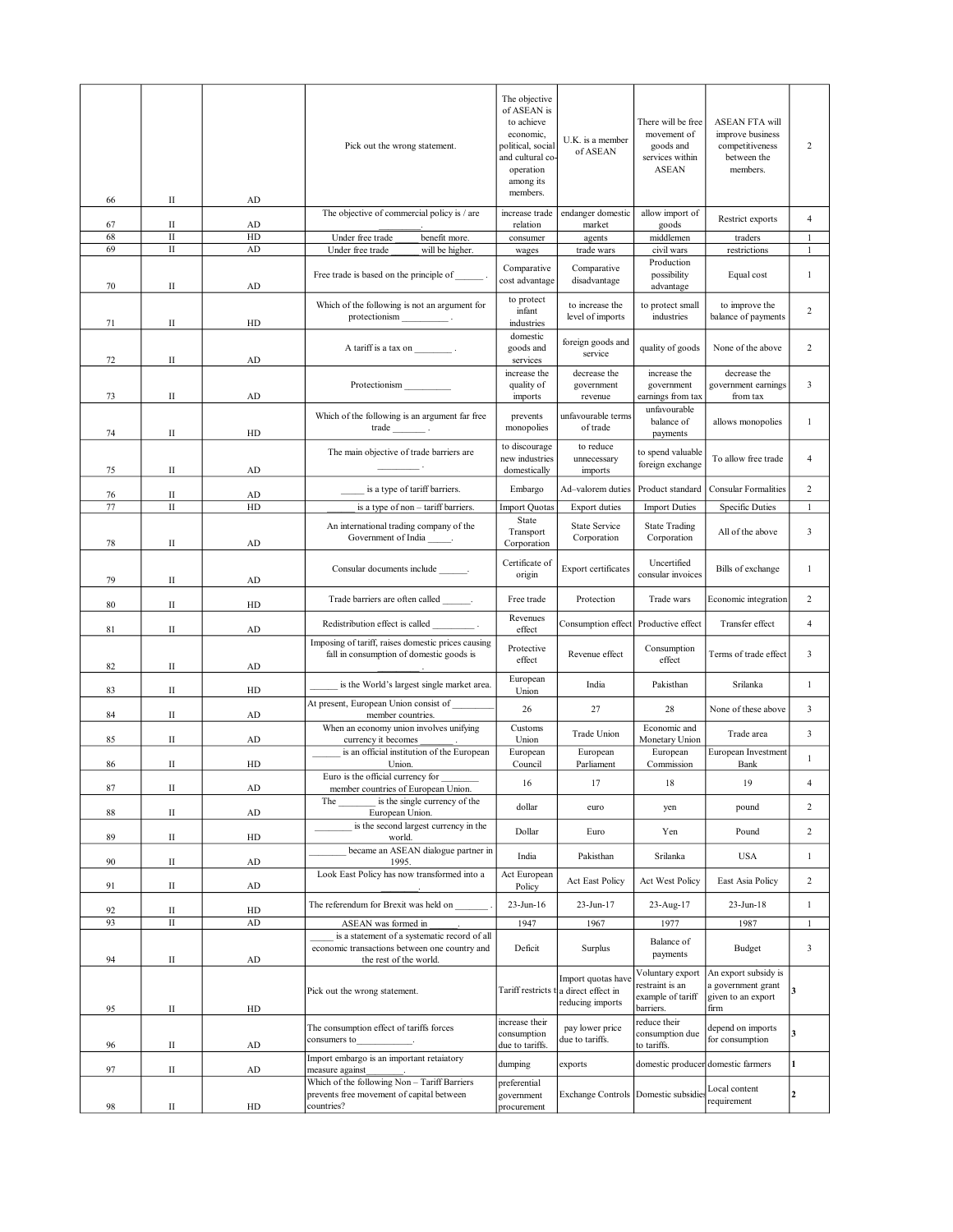| 66       | П           | AD         | Pick out the wrong statement.                                                                  | The objective<br>of ASEAN is<br>to achieve<br>economic,<br>political, social<br>and cultural co-<br>operation<br>among its<br>members. | U.K. is a member<br>of ASEAN                                 | There will be free<br>movement of<br>goods and<br>services within<br><b>ASEAN</b> | <b>ASEAN FTA will</b><br>improve business<br>competitiveness<br>between the<br>members. | 2              |
|----------|-------------|------------|------------------------------------------------------------------------------------------------|----------------------------------------------------------------------------------------------------------------------------------------|--------------------------------------------------------------|-----------------------------------------------------------------------------------|-----------------------------------------------------------------------------------------|----------------|
|          | П           | AD         | The objective of commercial policy is / are                                                    | increase trade                                                                                                                         | endanger domestic                                            | allow import of                                                                   | Restrict exports                                                                        | 4              |
| 67<br>68 | $\rm II$    | HD         | Under free trade<br>benefit more.                                                              | relation<br>consumer                                                                                                                   | market<br>agents                                             | goods<br>middlemen                                                                | traders                                                                                 | $\mathbf{1}$   |
| 69       | $\rm II$    | AD         | Under free trade<br>will be higher.                                                            | wages                                                                                                                                  | trade wars                                                   | civil wars                                                                        | restrictions                                                                            | $\mathbf{1}$   |
| 70       | П           | AD         | Free trade is based on the principle of                                                        | Comparative<br>cost advantage                                                                                                          | Comparative<br>disadvantage                                  | Production<br>possibility<br>advantage                                            | Equal cost                                                                              | 1              |
| 71       | П           | HD         | Which of the following is not an argument for<br>protectionism                                 | to protect<br>infant<br>industries                                                                                                     | to increase the<br>level of imports                          | to protect small<br>industries                                                    | to improve the<br>balance of payments                                                   | 2              |
| 72       | П           | AD         | A tariff is a tax on .                                                                         | domestic<br>goods and<br>services                                                                                                      | foreign goods and<br>service                                 | quality of goods                                                                  | None of the above                                                                       | 2              |
| 73       | П           | AD         | Protectionism                                                                                  | increase the<br>quality of<br>imports                                                                                                  | decrease the<br>government<br>revenue                        | increase the<br>government<br>earnings from tax                                   | decrease the<br>government earnings<br>from tax                                         | 3              |
| 74       | П           | HD         | Which of the following is an argument far free<br>trade                                        | prevents<br>monopolies                                                                                                                 | unfavourable terms<br>of trade                               | unfavourable<br>balance of<br>payments                                            | allows monopolies                                                                       | 1              |
| 75       | П           | AD         | The main objective of trade barriers are                                                       | to discourage<br>new industries<br>domestically                                                                                        | to reduce<br>unnecessary<br>imports                          | to spend valuable<br>foreign exchange                                             | To allow free trade                                                                     | 4              |
| 76       | П           | AD         | is a type of tariff barriers.                                                                  | Embargo                                                                                                                                | Ad-valorem duties                                            | Product standard                                                                  | <b>Consular Formalities</b>                                                             | 2              |
| 77       | $\rm II$    | HD         | is a type of non - tariff barriers.                                                            | <b>Import Quotas</b>                                                                                                                   | <b>Export duties</b>                                         | <b>Import Duties</b>                                                              | <b>Specific Duties</b>                                                                  | $\mathbf{1}$   |
| 78       | П           | AD         | An international trading company of the<br>Government of India                                 | State<br>Transport<br>Corporation                                                                                                      | State Service<br>Corporation                                 | <b>State Trading</b><br>Corporation                                               | All of the above                                                                        | 3              |
| 79       | П           | AD         | Consular documents include ________.                                                           | Certificate of<br>origin                                                                                                               | Export certificates                                          | Uncertified<br>consular invoices                                                  | Bills of exchange                                                                       | $\mathbf{1}$   |
| 80       | П           | HD         | Trade barriers are often called ________.                                                      | Free trade                                                                                                                             | Protection                                                   | Trade wars                                                                        | Economic integration                                                                    | 2              |
| 81       | П           | AD         | Redistribution effect is called                                                                | Revenues<br>effect                                                                                                                     | Consumption effect                                           | Productive effect                                                                 | Transfer effect                                                                         | 4              |
| 82       | П           | AD         | Imposing of tariff, raises domestic prices causing<br>fall in consumption of domestic goods is | Protective<br>effect                                                                                                                   | Revenue effect                                               | Consumption<br>effect                                                             | Terms of trade effect                                                                   | 3              |
| 83       | П           | HD         | is the World's largest single market area.                                                     | European<br>Union                                                                                                                      | India                                                        | Pakisthan                                                                         | Srilanka                                                                                | 1              |
| 84       | П           | AD         | At present, European Union consist of<br>member countries.                                     | 26                                                                                                                                     | 27                                                           | 28                                                                                | None of these above                                                                     | 3              |
| 85       | $\rm II$    | ${\rm AD}$ | When an economy union involves unifying                                                        | Customs<br>Union                                                                                                                       | Trade Union                                                  | Economic and                                                                      | Trade area                                                                              | 3              |
|          |             |            | currency it becomes<br>is an official institution of the European                              | European                                                                                                                               | European                                                     | Monetary Union<br>European                                                        | European Investment                                                                     | $\mathbf{1}$   |
| 86       | П           | HD         | Union.<br>Euro is the official currency for                                                    | Council                                                                                                                                | Parliament                                                   | Commission                                                                        | Bank                                                                                    |                |
| 87       | П           | AD         | member countries of European Union.<br>is the single currency of the<br>The                    | 16                                                                                                                                     | $17\,$                                                       | 18                                                                                | $19\,$                                                                                  |                |
| 88       | $_{\rm II}$ | ${\rm AD}$ | European Union.<br>is the second largest currency in the                                       | dollar                                                                                                                                 | euro                                                         | yen                                                                               | pound                                                                                   | 2              |
| 89       | $_{\rm II}$ | ${\rm HD}$ | world.                                                                                         | Dollar                                                                                                                                 | Euro                                                         | Yen                                                                               | Pound                                                                                   | $\overline{c}$ |
| 90       | $_{\rm II}$ | AD         | became an ASEAN dialogue partner in<br>1995.                                                   | India                                                                                                                                  | Pakisthan                                                    | Srilanka                                                                          | <b>USA</b>                                                                              | $\mathbf{1}$   |
| 91       | $_{\rm II}$ | ${\rm AD}$ | Look East Policy has now transformed into a                                                    | Act European<br>Policy                                                                                                                 | Act East Policy                                              | Act West Policy                                                                   | East Asia Policy                                                                        | 2              |
| 92       | П           | ${\rm HD}$ | The referendum for Brexit was held on                                                          | 23-Jun-16                                                                                                                              | 23-Jun-17                                                    | 23-Aug-17                                                                         | 23-Jun-18                                                                               | $\mathbf{1}$   |
| 93       | $\rm II$    | ${\rm AD}$ | ASEAN was formed in                                                                            | 1947                                                                                                                                   | 1967                                                         | 1977                                                                              | 1987                                                                                    | $\mathbf{1}$   |
|          |             |            | is a statement of a systematic record of all<br>economic transactions between one country and  | Deficit                                                                                                                                | Surplus                                                      | Balance of                                                                        | Budget                                                                                  | 3              |
| 94       | $\rm II$    | ${\rm AD}$ | the rest of the world.                                                                         |                                                                                                                                        |                                                              | payments                                                                          |                                                                                         |                |
| 95       | П           | HD         | Pick out the wrong statement.                                                                  | Tariff restricts                                                                                                                       | Import quotas have<br>a direct effect in<br>reducing imports | Voluntary export<br>restraint is an<br>example of tariff<br>barriers.             | An export subsidy is<br>a government grant<br>given to an export<br>firm                | 3              |
| 96       | $\rm II$    | AD         | The consumption effect of tariffs forces<br>consumers to                                       | increase their<br>consumption<br>due to tariffs.                                                                                       | pay lower price<br>due to tariffs.                           | reduce their<br>consumption due<br>to tariffs.                                    | depend on imports<br>for consumption                                                    | 3              |
| 97       | П           | ${\rm AD}$ | Import embargo is an important retaiatory<br>measure against                                   | dumping                                                                                                                                | exports                                                      | domestic producer domestic farmers                                                |                                                                                         | 1              |
|          |             |            | Which of the following Non - Tariff Barriers<br>prevents free movement of capital between      | preferential                                                                                                                           | Exchange Controls Domestic subsidies                         |                                                                                   | Local content                                                                           | $\overline{2}$ |
| 98       | П           | HD         | countries?                                                                                     | government<br>procurement                                                                                                              |                                                              |                                                                                   | requirement                                                                             |                |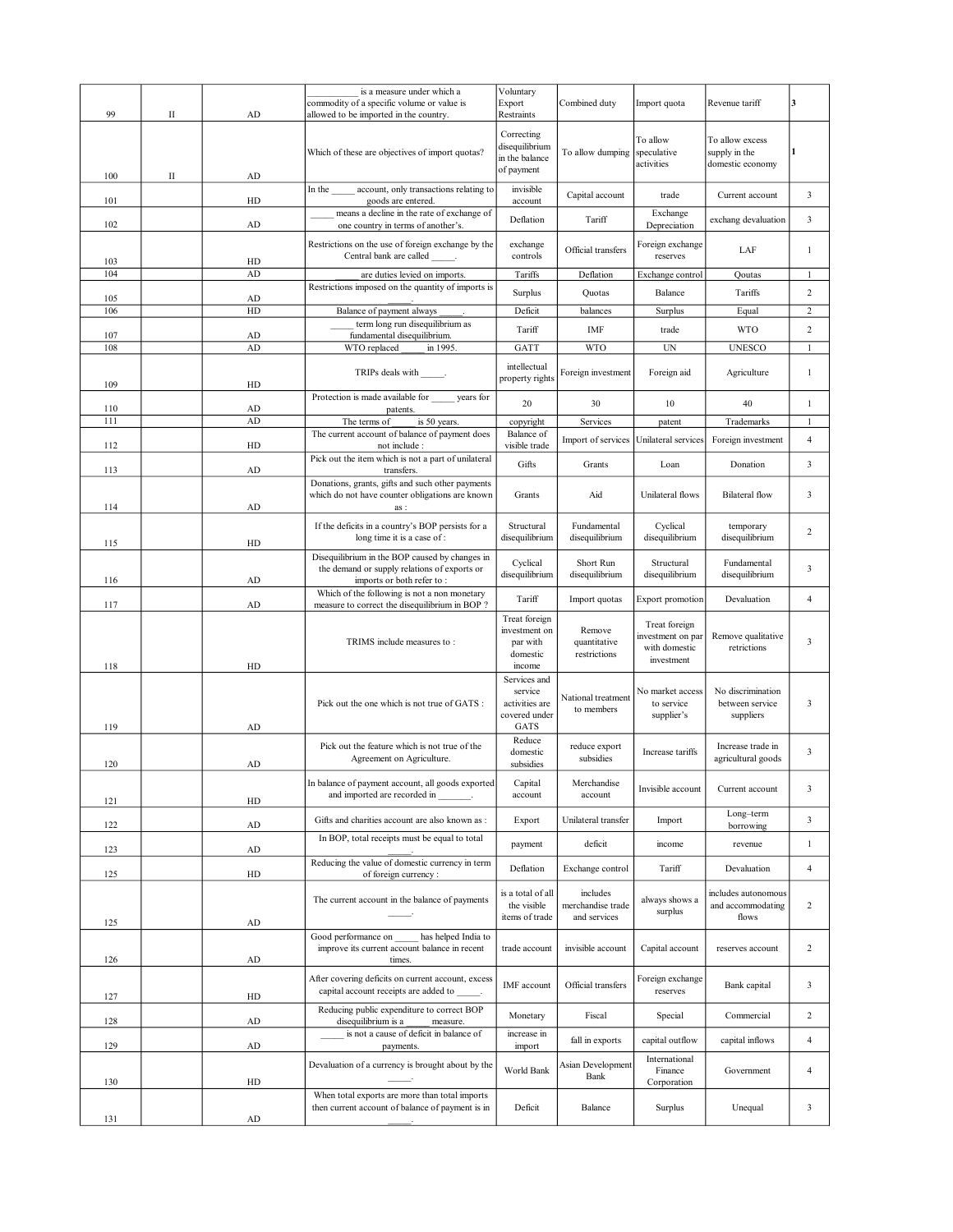|            |   |          | is a measure under which a<br>commodity of a specific volume or value is                                   | Voluntary<br>Export                                                | Combined duty                                 | Import quota                                                      | Revenue tariff                                       | 3              |
|------------|---|----------|------------------------------------------------------------------------------------------------------------|--------------------------------------------------------------------|-----------------------------------------------|-------------------------------------------------------------------|------------------------------------------------------|----------------|
| 99         | П | AD       | allowed to be imported in the country.                                                                     | Restraints                                                         |                                               |                                                                   |                                                      |                |
| 100        | П | AD       | Which of these are objectives of import quotas?                                                            | Correcting<br>disequilibrium<br>in the balance<br>of payment       | To allow dumping                              | To allow<br>speculative<br>activities                             | To allow excess<br>supply in the<br>domestic economy |                |
| 101        |   | HD       | account, only transactions relating to<br>In the<br>goods are entered.                                     | invisible<br>account                                               | Capital account                               | trade                                                             | Current account                                      | 3              |
|            |   |          | means a decline in the rate of exchange of                                                                 | Deflation                                                          | Tariff                                        | Exchange                                                          | exchang devaluation                                  | 3              |
| 102        |   | AD       | one country in terms of another's.                                                                         |                                                                    |                                               | Depreciation                                                      |                                                      |                |
| 103        |   | HD       | Restrictions on the use of foreign exchange by the<br>Central bank are called                              | exchange<br>controls                                               | Official transfers                            | Foreign exchange<br>reserves                                      | LAF                                                  | $\mathbf{1}$   |
| 104        |   | AD       | are duties levied on imports.                                                                              | Tariffs                                                            | Deflation                                     | Exchange control                                                  | Qoutas                                               | $\mathbf{1}$   |
| 105        |   | AD       | Restrictions imposed on the quantity of imports is                                                         | Surplus                                                            | Quotas                                        | Balance                                                           | Tariffs                                              | $\overline{c}$ |
| 106        |   | HD       | Balance of payment always                                                                                  | Deficit                                                            | balances                                      | Surplus                                                           | Equal                                                | 2              |
|            |   |          | term long run disequilibrium as                                                                            | Tariff                                                             | IMF                                           | trade                                                             | <b>WTO</b>                                           | 2              |
| 107<br>108 |   | AD<br>AD | fundamental disequilibrium.<br>WTO replaced<br>in 1995.                                                    | GATT                                                               | <b>WTO</b>                                    | UN                                                                | <b>UNESCO</b>                                        | 1              |
|            |   |          |                                                                                                            |                                                                    |                                               |                                                                   |                                                      |                |
| 109        |   | HD       | TRIPs deals with _______.                                                                                  | intellectual<br>property rights                                    | Foreign investment                            | Foreign aid                                                       | Agriculture                                          | 1              |
| 110        |   | AD       | Protection is made available for years for<br>patents.                                                     | 20                                                                 | 30                                            | 10                                                                | 40                                                   | $\mathbf{1}$   |
| 111        |   | AD       | The terms of<br>is 50 years.                                                                               | copyright                                                          | Services                                      | patent                                                            | Trademarks                                           | $\mathbf{1}$   |
|            |   |          | The current account of balance of payment does                                                             | Balance of                                                         | Import of services                            | Unilateral services                                               | Foreign investment                                   | 4              |
| 112        |   | HD       | not include :<br>Pick out the item which is not a part of unilateral                                       | visible trade                                                      |                                               |                                                                   |                                                      |                |
| 113        |   | AD       | transfers.                                                                                                 | Gifts                                                              | Grants                                        | Loan                                                              | Donation                                             | 3              |
| 114        |   | AD       | Donations, grants, gifts and such other payments<br>which do not have counter obligations are known<br>as: | Grants                                                             | Aid                                           | Unilateral flows                                                  | <b>Bilateral</b> flow                                | 3              |
| 115        |   | HD       | If the deficits in a country's BOP persists for a<br>long time it is a case of :                           | Structural<br>disequilibrium                                       | Fundamental<br>disequilibrium                 | Cyclical<br>disequilibrium                                        | temporary<br>disequilibrium                          | 2              |
|            |   |          | Disequilibrium in the BOP caused by changes in                                                             |                                                                    |                                               |                                                                   |                                                      |                |
| 116        |   | AD       | the demand or supply relations of exports or<br>imports or both refer to:                                  | Cyclical<br>disequilibrium                                         | Short Run<br>disequilibrium                   | Structural<br>disequilibrium                                      | Fundamental<br>disequilibrium                        | 3              |
| 117        |   | AD       | Which of the following is not a non monetary<br>measure to correct the disequilibrium in BOP?              | Tariff                                                             | Import quotas                                 | <b>Export promotion</b>                                           | Devaluation                                          | $\overline{4}$ |
| 118        |   | HD       | TRIMS include measures to:                                                                                 | Treat foreign<br>investment on<br>par with<br>domestic<br>income   | Remove<br>quantitative<br>restrictions        | Treat foreign<br>investment on par<br>with domestic<br>investment | Remove qualitative<br>retrictions                    | 3              |
| 119        |   | AD       | Pick out the one which is not true of GATS :                                                               | Services and<br>service<br>activities are<br>covered under<br>GATS | National treatment<br>to members              | No market access<br>to service<br>supplier's                      | No discrimination<br>between service<br>suppliers    | 3              |
| 120        |   | AD       | Pick out the feature which is not true of the<br>Agreement on Agriculture.                                 | Reduce<br>domestic<br>subsidies                                    | reduce export<br>subsidies                    | Increase tariffs                                                  | Increase trade in<br>agricultural goods              | 3              |
| 121        |   | HD       | In balance of payment account, all goods exported<br>and imported are recorded in                          | Capital<br>account                                                 | Merchandise<br>account                        | Invisible account                                                 | Current account                                      | 3              |
| 122        |   | AD       | Gifts and charities account are also known as :                                                            | Export                                                             | Unilateral transfer                           | Import                                                            | Long-term<br>borrowing                               | 3              |
|            |   | AD       | In BOP, total receipts must be equal to total                                                              | payment                                                            | deficit                                       | income                                                            | revenue                                              | $\mathbf{1}$   |
| 123        |   |          | Reducing the value of domestic currency in term                                                            | Deflation                                                          | Exchange control                              | Tariff                                                            | Devaluation                                          | 4              |
| 125        |   | HD       | of foreign currency:                                                                                       |                                                                    |                                               |                                                                   |                                                      |                |
| 125        |   | AD       | The current account in the balance of payments                                                             | is a total of all<br>the visible<br>items of trade                 | includes<br>merchandise trade<br>and services | always shows a<br>surplus                                         | includes autonomous<br>and accommodating<br>flows    | $\overline{c}$ |
|            |   |          | has helped India to<br>Good performance on<br>improve its current account balance in recent                | trade account                                                      | invisible account                             | Capital account                                                   | reserves account                                     | $\overline{c}$ |
| 126        |   | AD       | times.                                                                                                     |                                                                    |                                               |                                                                   |                                                      |                |
| 127        |   | HD       | After covering deficits on current account, excess<br>capital account receipts are added to                | IMF account                                                        | Official transfers                            | Foreign exchange<br>reserves                                      | Bank capital                                         | 3              |
| 128        |   | AD       | Reducing public expenditure to correct BOP<br>disequilibrium is a<br>measure.                              | Monetary                                                           | Fiscal                                        | Special                                                           | Commercial                                           | $\overline{c}$ |
| 129        |   | AD       | is not a cause of deficit in balance of<br>payments.                                                       | increase in<br>import                                              | fall in exports                               | capital outflow                                                   | capital inflows                                      | 4              |
|            |   |          | Devaluation of a currency is brought about by the                                                          | World Bank                                                         | Asian Development<br>Bank                     | International<br>Finance                                          | Government                                           | 4              |
| 130        |   | HD       | When total exports are more than total imports                                                             |                                                                    |                                               | Corporation                                                       |                                                      |                |
| 131        |   | AD       | then current account of balance of payment is in                                                           | Deficit                                                            | Balance                                       | Surplus                                                           | Unequal                                              | 3              |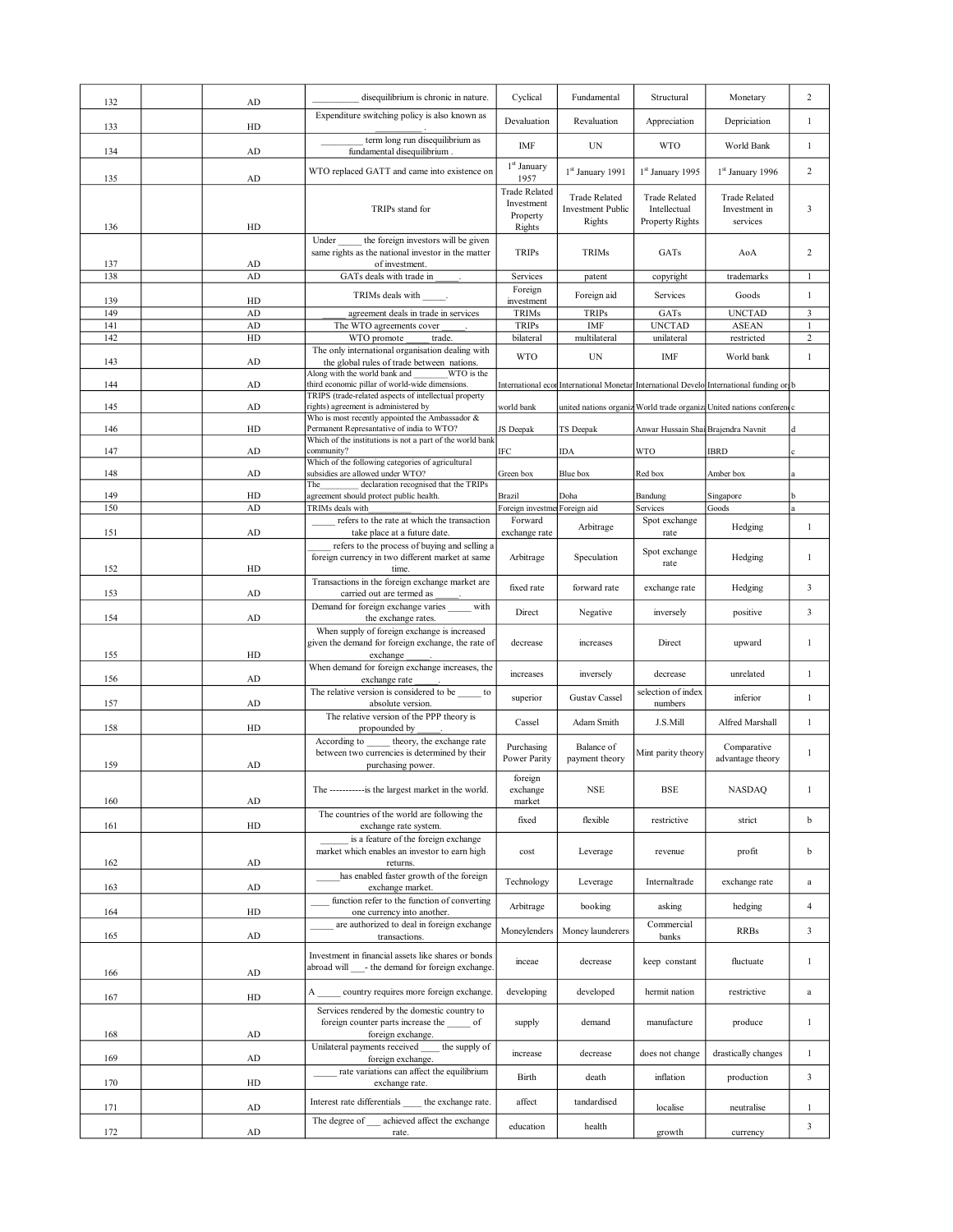| 132        |             |                                                                                                    |                                         |                          |                                     |                                                                                          |                              |
|------------|-------------|----------------------------------------------------------------------------------------------------|-----------------------------------------|--------------------------|-------------------------------------|------------------------------------------------------------------------------------------|------------------------------|
|            | AD          | disequilibrium is chronic in nature.                                                               | Cyclical                                | Fundamental              | Structural                          | Monetary                                                                                 | $\overline{c}$               |
|            |             | Expenditure switching policy is also known as                                                      | Devaluation                             | Revaluation              | Appreciation                        | Depriciation                                                                             | 1                            |
| 133        | HD          | term long run disequilibrium as                                                                    | IMF                                     | $\ensuremath{\text{UN}}$ | <b>WTO</b>                          | World Bank                                                                               | $\mathbf{1}$                 |
| 134        | AD          | fundamental disequilibrium.                                                                        | $1st$ January                           |                          |                                     |                                                                                          |                              |
| 135        | AD          | WTO replaced GATT and came into existence on                                                       | 1957                                    | 1st January 1991         | 1st January 1995                    | 1 <sup>st</sup> January 1996                                                             | $\overline{2}$               |
|            |             |                                                                                                    | <b>Trade Related</b><br>Investment      | <b>Trade Related</b>     | <b>Trade Related</b>                | <b>Trade Related</b>                                                                     |                              |
|            |             | TRIPs stand for                                                                                    | Property                                | <b>Investment Public</b> | Intellectual                        | Investment in                                                                            | 3                            |
| 136        | HD          |                                                                                                    | Rights                                  | Rights                   | Property Rights                     | services                                                                                 |                              |
|            |             | the foreign investors will be given<br>Under<br>same rights as the national investor in the matter | <b>TRIPs</b>                            | TRIMs                    | GATs                                | AoA                                                                                      | 2                            |
| 137        | AD          | of investment.                                                                                     |                                         |                          |                                     |                                                                                          |                              |
| 138        | AD          | GATs deals with trade in                                                                           | Services                                | patent                   | copyright                           | trademarks                                                                               | $\mathbf{1}$                 |
| 139        | HD          | TRIMs deals with                                                                                   | Foreign<br>investment                   | Foreign aid              | Services                            | Goods                                                                                    | $\mathbf{1}$                 |
| 149        | ${\rm AD}$  | agreement deals in trade in services                                                               | TRIMs                                   | <b>TRIPs</b>             | GATs                                | <b>UNCTAD</b>                                                                            | 3                            |
| 141        | ${\rm AD}$  | The WTO agreements cover                                                                           | <b>TRIPs</b>                            | IMF                      | <b>UNCTAD</b>                       | <b>ASEAN</b>                                                                             | 1                            |
| 142        | HD          | WTO promote<br>trade.                                                                              | bilateral                               | multilateral             | unilateral                          | restricted                                                                               | $\overline{c}$               |
|            |             | The only international organisation dealing with                                                   | <b>WTO</b>                              | $\ensuremath{\text{UN}}$ | IMF                                 | World bank                                                                               | 1                            |
| 143        | AD          | the global rules of trade between nations.                                                         |                                         |                          |                                     |                                                                                          |                              |
| 144        | ${\rm AD}$  | Along with the world bank and<br>WTO is the<br>third economic pillar of world-wide dimensions.     |                                         |                          |                                     | International econ International Monetar International Develo International funding or b |                              |
|            |             | TRIPS (trade-related aspects of intellectual property                                              |                                         |                          |                                     |                                                                                          |                              |
| 145        | ${\rm AD}$  | rights) agreement is administered by                                                               | world bank                              |                          |                                     | united nations organiz World trade organiza United nations conference                    |                              |
| 146        | HD          | Who is most recently appointed the Ambassador &<br>Permanent Represantative of india to WTO?       | JS Deepak                               | TS Deepak                | Anwar Hussain Shai Brajendra Navnit |                                                                                          | d                            |
|            |             | Which of the institutions is not a part of the world bank                                          |                                         |                          |                                     |                                                                                          |                              |
| 147        | ${\rm AD}$  | community?<br>Which of the following categories of agricultural                                    | IFC                                     | IDA                      | WTO                                 | <b>IBRD</b>                                                                              |                              |
| 148        | AD          | subsidies are allowed under WTO?                                                                   | Green box                               | Blue box                 | Red box                             | Amber box                                                                                |                              |
|            |             | declaration recognised that the TRIPs<br>The                                                       |                                         |                          |                                     |                                                                                          |                              |
| 149<br>150 | HD<br>AD    | agreement should protect public health.<br>TRIMs deals with                                        | Brazil                                  | Doha                     | Bandung<br>Services                 | Singapore<br>Goods                                                                       | la                           |
|            |             | refers to the rate at which the transaction                                                        | Foreign investme Foreign aid<br>Forward |                          | Spot exchange                       |                                                                                          |                              |
| 151        | AD          | take place at a future date.                                                                       | exchange rate                           | Arbitrage                | rate                                | Hedging                                                                                  | $\mathbf{1}$                 |
|            |             | refers to the process of buying and selling a                                                      |                                         |                          |                                     |                                                                                          |                              |
|            |             | foreign currency in two different market at same                                                   | Arbitrage                               | Speculation              | Spot exchange<br>rate               | Hedging                                                                                  | $\mathbf{1}$                 |
| 152        | HD          | time.<br>Transactions in the foreign exchange market are                                           |                                         |                          |                                     |                                                                                          |                              |
| 153        | ${\rm AD}$  | carried out are termed as                                                                          | fixed rate                              | forward rate             | exchange rate                       | Hedging                                                                                  | $\overline{3}$               |
|            |             | Demand for foreign exchange varies<br>with                                                         |                                         |                          |                                     |                                                                                          |                              |
| 154        | AD          | the exchange rates.                                                                                | Direct                                  | Negative                 | inversely                           | positive                                                                                 | $\mathbf{3}$                 |
|            |             | When supply of foreign exchange is increased                                                       |                                         |                          |                                     |                                                                                          |                              |
|            | HD          | given the demand for foreign exchange, the rate of                                                 | decrease                                | increases                | Direct                              | upward                                                                                   | $\mathbf{1}$                 |
| 155        |             | exchange<br>When demand for foreign exchange increases, the                                        |                                         |                          |                                     |                                                                                          |                              |
| 156        | AD          | exchange rate                                                                                      | increases                               | inversely                | decrease                            | unrelated                                                                                | $\mathbf{1}$                 |
|            |             |                                                                                                    |                                         |                          | selection of index                  |                                                                                          |                              |
|            |             | The relative version is considered to be<br>to                                                     |                                         |                          |                                     |                                                                                          |                              |
| 157        | ${\rm AD}$  | absolute version.                                                                                  | superior                                | <b>Gustav Cassel</b>     | numbers                             | inferior                                                                                 | 1                            |
|            |             | The relative version of the PPP theory is                                                          | Cassel                                  | Adam Smith               | J.S.Mill                            | Alfred Marshall                                                                          | $\mathbf{1}$                 |
| 158        | HD          | propounded by                                                                                      |                                         |                          |                                     |                                                                                          |                              |
|            |             | According to<br>theory, the exchange rate<br>between two currencies is determined by their         | Purchasing                              | Balance of               | Mint parity theory                  | Comparative                                                                              | $\mathbf{1}$                 |
| 159        | AD          | purchasing power.                                                                                  | Power Parity                            | payment theory           |                                     | advantage theory                                                                         |                              |
|            |             |                                                                                                    | foreign                                 |                          |                                     |                                                                                          |                              |
|            |             | The ------------is the largest market in the world.                                                | exchange                                | <b>NSE</b>               | <b>BSE</b>                          | <b>NASDAQ</b>                                                                            | $\mathbf{1}$                 |
| 160        | AD          |                                                                                                    | market                                  |                          |                                     |                                                                                          |                              |
| 161        | HD          | The countries of the world are following the<br>exchange rate system.                              | fixed                                   | flexible                 | restrictive                         | strict                                                                                   | b                            |
|            |             | is a feature of the foreign exchange                                                               |                                         |                          |                                     |                                                                                          |                              |
|            |             | market which enables an investor to earn high                                                      | cost                                    | Leverage                 | revenue                             | profit                                                                                   | b                            |
| 162        | $\mbox{AD}$ | returns.                                                                                           |                                         |                          |                                     |                                                                                          |                              |
|            |             | has enabled faster growth of the foreign                                                           | Technology                              | Leverage                 | Internaltrade                       | exchange rate                                                                            | $\mathbf{a}$                 |
| 163        | ${\rm AD}$  | exchange market.<br>function refer to the function of converting                                   |                                         |                          |                                     |                                                                                          |                              |
| 164        | HD          | one currency into another.                                                                         | Arbitrage                               | booking                  | asking                              | hedging                                                                                  | $\overline{4}$               |
|            |             | are authorized to deal in foreign exchange                                                         |                                         |                          | Commercial                          |                                                                                          |                              |
| 165        | $\mbox{AD}$ | transactions.                                                                                      | Moneylenders                            | Money launderers         | banks                               | <b>RRBs</b>                                                                              | $\overline{3}$               |
|            |             | Investment in financial assets like shares or bonds                                                |                                         |                          |                                     |                                                                                          |                              |
| 166        | ${\rm AD}$  | abroad will ____- the demand for foreign exchange.                                                 | inceae                                  | decrease                 | keep constant                       | fluctuate                                                                                | $\mathbf{1}$                 |
|            |             |                                                                                                    |                                         |                          |                                     |                                                                                          |                              |
| 167        | HD          | country requires more foreign exchange.<br>А                                                       | developing                              | developed                | hermit nation                       | restrictive                                                                              | $\rm{a}$                     |
|            |             | Services rendered by the domestic country to                                                       |                                         |                          |                                     |                                                                                          |                              |
|            |             | foreign counter parts increase the of                                                              | supply                                  | demand                   | manufacture                         | produce                                                                                  | $\mathbf{1}$                 |
| 168        | ${\rm AD}$  | foreign exchange.                                                                                  |                                         |                          |                                     |                                                                                          |                              |
| 169        | ${\rm AD}$  | the supply of<br>Unilateral payments received<br>foreign exchange.                                 | increase                                | decrease                 | does not change                     | drastically changes                                                                      | $\mathbf{1}$                 |
|            |             | rate variations can affect the equilibrium                                                         |                                         |                          |                                     |                                                                                          |                              |
| 170        | HD          | exchange rate.                                                                                     | Birth                                   | death                    | inflation                           | production                                                                               | $\overline{3}$               |
|            |             | Interest rate differentials<br>the exchange rate.                                                  | affect                                  | tandardised              |                                     |                                                                                          |                              |
| 171        | ${\rm AD}$  | achieved affect the exchange<br>The degree of                                                      | education                               | health                   | localise                            | neutralise                                                                               | $\mathbf{1}$<br>$\mathbf{3}$ |